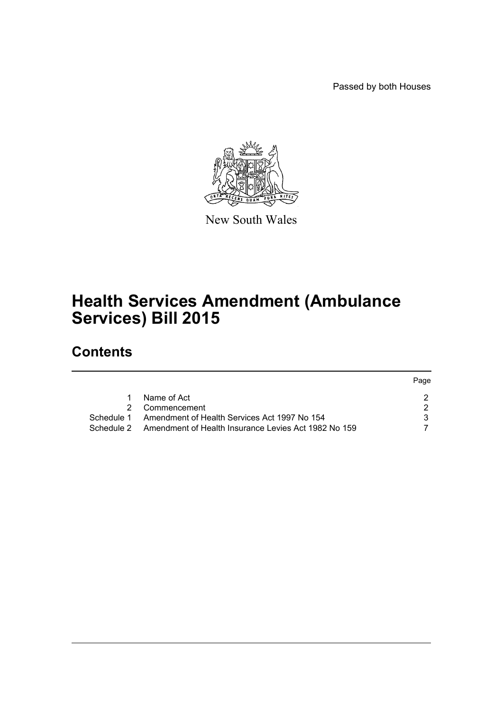Passed by both Houses



New South Wales

# **Health Services Amendment (Ambulance Services) Bill 2015**

## **Contents**

|            |                                                      | Page |
|------------|------------------------------------------------------|------|
|            | Name of Act                                          |      |
| 2          | Commencement                                         |      |
| Schedule 1 | Amendment of Health Services Act 1997 No 154         |      |
| Schedule 2 | Amendment of Health Insurance Levies Act 1982 No 159 |      |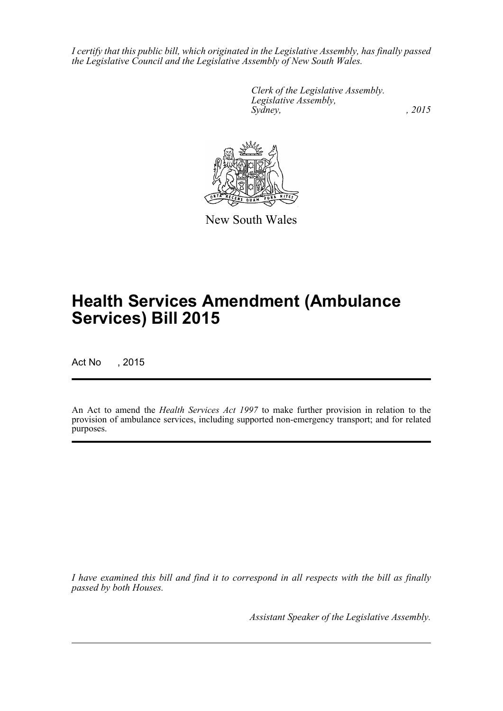*I certify that this public bill, which originated in the Legislative Assembly, has finally passed the Legislative Council and the Legislative Assembly of New South Wales.*

> *Clerk of the Legislative Assembly. Legislative Assembly, Sydney,* , 2015



New South Wales

# **Health Services Amendment (Ambulance Services) Bill 2015**

Act No , 2015

An Act to amend the *Health Services Act 1997* to make further provision in relation to the provision of ambulance services, including supported non-emergency transport; and for related purposes.

*I have examined this bill and find it to correspond in all respects with the bill as finally passed by both Houses.*

*Assistant Speaker of the Legislative Assembly.*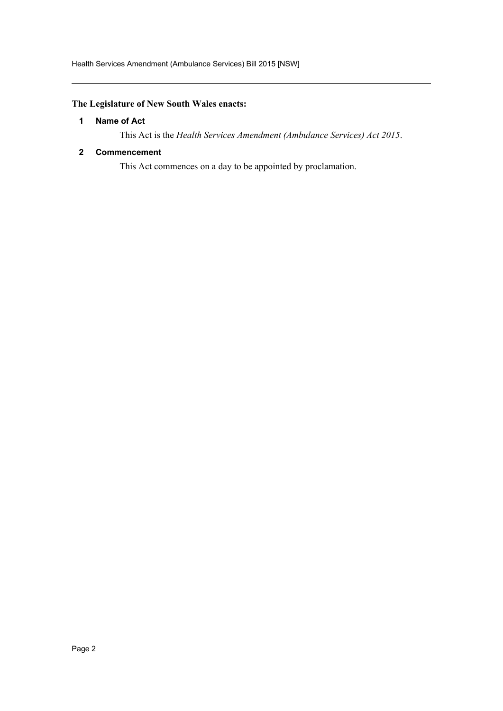### <span id="page-2-0"></span>**The Legislature of New South Wales enacts:**

#### **1 Name of Act**

This Act is the *Health Services Amendment (Ambulance Services) Act 2015*.

#### <span id="page-2-1"></span>**2 Commencement**

This Act commences on a day to be appointed by proclamation.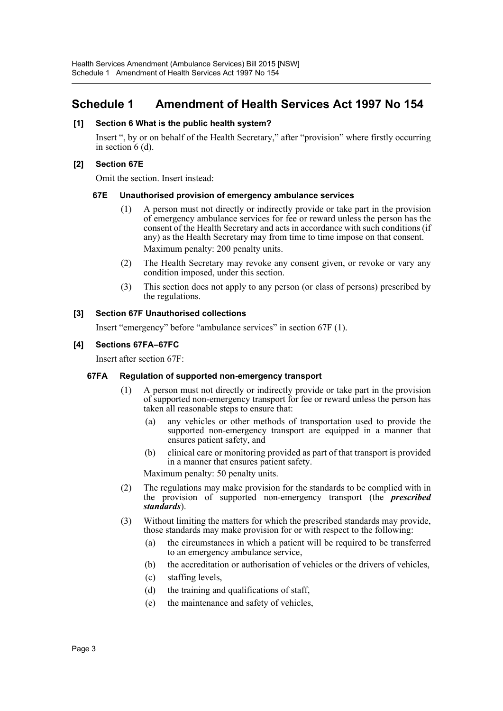## <span id="page-3-0"></span>**Schedule 1 Amendment of Health Services Act 1997 No 154**

#### **[1] Section 6 What is the public health system?**

Insert ", by or on behalf of the Health Secretary," after "provision" where firstly occurring in section  $6$  (d).

#### **[2] Section 67E**

Omit the section. Insert instead:

#### **67E Unauthorised provision of emergency ambulance services**

- (1) A person must not directly or indirectly provide or take part in the provision of emergency ambulance services for fee or reward unless the person has the consent of the Health Secretary and acts in accordance with such conditions (if any) as the Health Secretary may from time to time impose on that consent. Maximum penalty: 200 penalty units.
- (2) The Health Secretary may revoke any consent given, or revoke or vary any condition imposed, under this section.
- (3) This section does not apply to any person (or class of persons) prescribed by the regulations.

#### **[3] Section 67F Unauthorised collections**

Insert "emergency" before "ambulance services" in section 67F (1).

#### **[4] Sections 67FA–67FC**

Insert after section 67F:

#### **67FA Regulation of supported non-emergency transport**

- (1) A person must not directly or indirectly provide or take part in the provision of supported non-emergency transport for fee or reward unless the person has taken all reasonable steps to ensure that:
	- (a) any vehicles or other methods of transportation used to provide the supported non-emergency transport are equipped in a manner that ensures patient safety, and
	- (b) clinical care or monitoring provided as part of that transport is provided in a manner that ensures patient safety.

Maximum penalty: 50 penalty units.

- (2) The regulations may make provision for the standards to be complied with in the provision of supported non-emergency transport (the *prescribed standards*).
- (3) Without limiting the matters for which the prescribed standards may provide, those standards may make provision for or with respect to the following:
	- (a) the circumstances in which a patient will be required to be transferred to an emergency ambulance service,
	- (b) the accreditation or authorisation of vehicles or the drivers of vehicles,
	- (c) staffing levels,
	- (d) the training and qualifications of staff,
	- (e) the maintenance and safety of vehicles,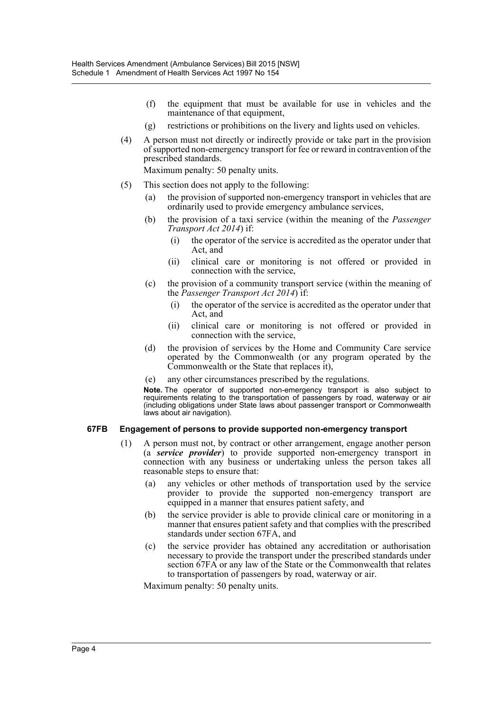- (f) the equipment that must be available for use in vehicles and the maintenance of that equipment,
- (g) restrictions or prohibitions on the livery and lights used on vehicles.
- (4) A person must not directly or indirectly provide or take part in the provision of supported non-emergency transport for fee or reward in contravention of the prescribed standards.

Maximum penalty: 50 penalty units.

- (5) This section does not apply to the following:
	- (a) the provision of supported non-emergency transport in vehicles that are ordinarily used to provide emergency ambulance services,
	- (b) the provision of a taxi service (within the meaning of the *Passenger Transport Act 2014*) if:
		- (i) the operator of the service is accredited as the operator under that Act, and
		- (ii) clinical care or monitoring is not offered or provided in connection with the service,
	- (c) the provision of a community transport service (within the meaning of the *Passenger Transport Act 2014*) if:
		- (i) the operator of the service is accredited as the operator under that Act, and
		- (ii) clinical care or monitoring is not offered or provided in connection with the service,
	- (d) the provision of services by the Home and Community Care service operated by the Commonwealth (or any program operated by the Commonwealth or the State that replaces it),
	- (e) any other circumstances prescribed by the regulations.

**Note.** The operator of supported non-emergency transport is also subject to requirements relating to the transportation of passengers by road, waterway or air (including obligations under State laws about passenger transport or Commonwealth laws about air navigation).

#### **67FB Engagement of persons to provide supported non-emergency transport**

- (1) A person must not, by contract or other arrangement, engage another person (a *service provider*) to provide supported non-emergency transport in connection with any business or undertaking unless the person takes all reasonable steps to ensure that:
	- (a) any vehicles or other methods of transportation used by the service provider to provide the supported non-emergency transport are equipped in a manner that ensures patient safety, and
	- (b) the service provider is able to provide clinical care or monitoring in a manner that ensures patient safety and that complies with the prescribed standards under section 67FA, and
	- (c) the service provider has obtained any accreditation or authorisation necessary to provide the transport under the prescribed standards under section 67FA or any law of the State or the Commonwealth that relates to transportation of passengers by road, waterway or air.

Maximum penalty: 50 penalty units.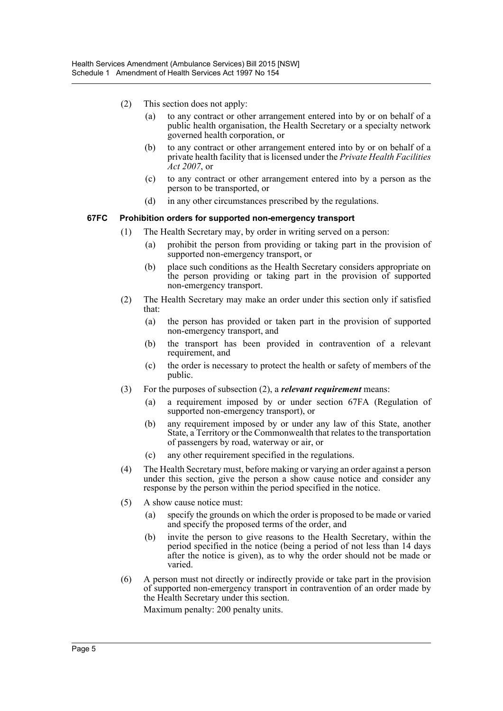- (2) This section does not apply:
	- (a) to any contract or other arrangement entered into by or on behalf of a public health organisation, the Health Secretary or a specialty network governed health corporation, or
	- (b) to any contract or other arrangement entered into by or on behalf of a private health facility that is licensed under the *Private Health Facilities Act 2007*, or
	- (c) to any contract or other arrangement entered into by a person as the person to be transported, or
	- (d) in any other circumstances prescribed by the regulations.

#### **67FC Prohibition orders for supported non-emergency transport**

- (1) The Health Secretary may, by order in writing served on a person:
	- (a) prohibit the person from providing or taking part in the provision of supported non-emergency transport, or
	- (b) place such conditions as the Health Secretary considers appropriate on the person providing or taking part in the provision of supported non-emergency transport.
- (2) The Health Secretary may make an order under this section only if satisfied that:
	- (a) the person has provided or taken part in the provision of supported non-emergency transport, and
	- (b) the transport has been provided in contravention of a relevant requirement, and
	- (c) the order is necessary to protect the health or safety of members of the public.
- (3) For the purposes of subsection (2), a *relevant requirement* means:
	- (a) a requirement imposed by or under section 67FA (Regulation of supported non-emergency transport), or
	- (b) any requirement imposed by or under any law of this State, another State, a Territory or the Commonwealth that relates to the transportation of passengers by road, waterway or air, or
	- (c) any other requirement specified in the regulations.
- (4) The Health Secretary must, before making or varying an order against a person under this section, give the person a show cause notice and consider any response by the person within the period specified in the notice.
- (5) A show cause notice must:
	- (a) specify the grounds on which the order is proposed to be made or varied and specify the proposed terms of the order, and
	- (b) invite the person to give reasons to the Health Secretary, within the period specified in the notice (being a period of not less than 14 days after the notice is given), as to why the order should not be made or varied.
- (6) A person must not directly or indirectly provide or take part in the provision of supported non-emergency transport in contravention of an order made by the Health Secretary under this section.

Maximum penalty: 200 penalty units.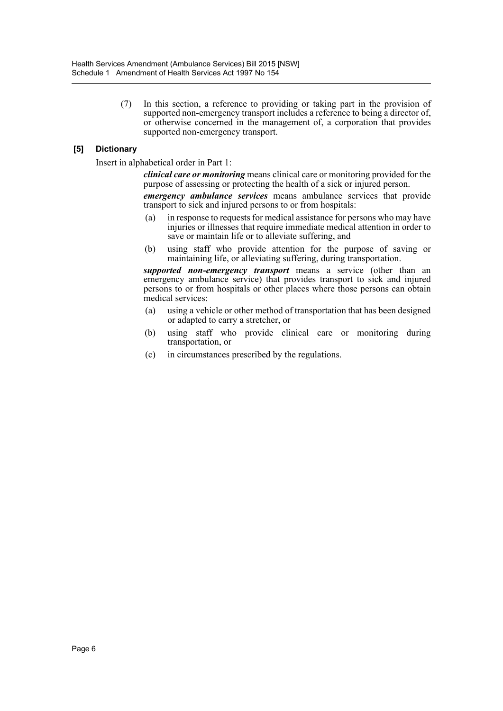(7) In this section, a reference to providing or taking part in the provision of supported non-emergency transport includes a reference to being a director of, or otherwise concerned in the management of, a corporation that provides supported non-emergency transport.

#### **[5] Dictionary**

Insert in alphabetical order in Part 1:

*clinical care or monitoring* means clinical care or monitoring provided for the purpose of assessing or protecting the health of a sick or injured person.

*emergency ambulance services* means ambulance services that provide transport to sick and injured persons to or from hospitals:

- (a) in response to requests for medical assistance for persons who may have injuries or illnesses that require immediate medical attention in order to save or maintain life or to alleviate suffering, and
- (b) using staff who provide attention for the purpose of saving or maintaining life, or alleviating suffering, during transportation.

*supported non-emergency transport* means a service (other than an emergency ambulance service) that provides transport to sick and injured persons to or from hospitals or other places where those persons can obtain medical services:

- (a) using a vehicle or other method of transportation that has been designed or adapted to carry a stretcher, or
- (b) using staff who provide clinical care or monitoring during transportation, or
- (c) in circumstances prescribed by the regulations.